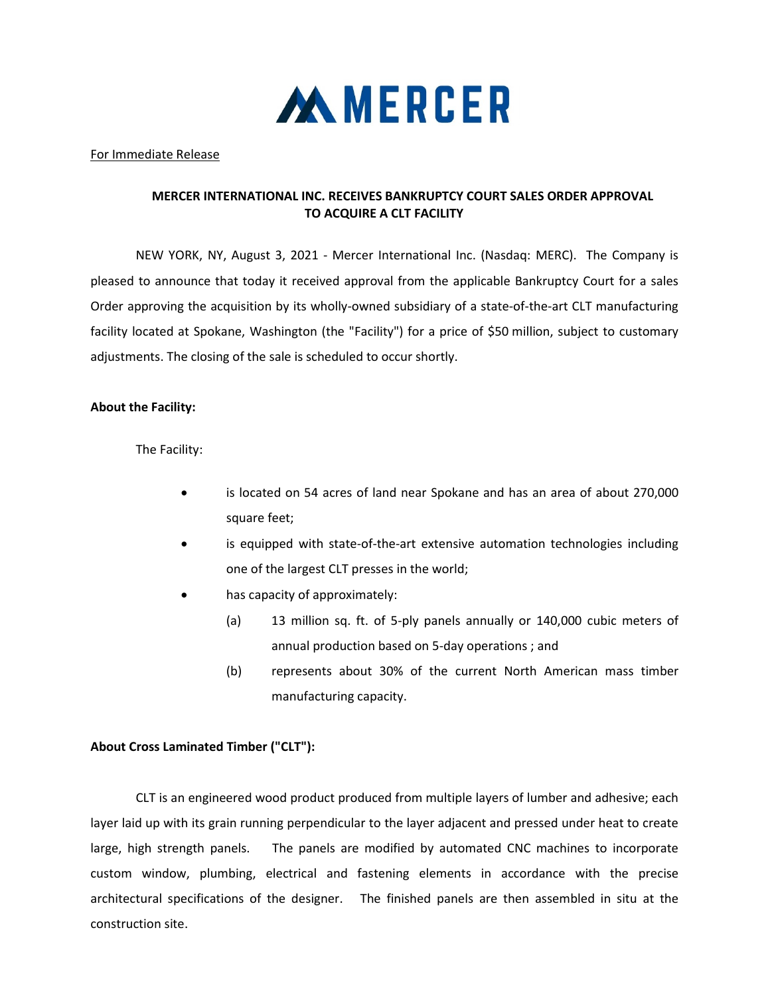

For Immediate Release

# MERCER INTERNATIONAL INC. RECEIVES BANKRUPTCY COURT SALES ORDER APPROVAL TO ACQUIRE A CLT FACILITY

NEW YORK, NY, August 3, 2021 - Mercer International Inc. (Nasdaq: MERC). The Company is pleased to announce that today it received approval from the applicable Bankruptcy Court for a sales Order approving the acquisition by its wholly-owned subsidiary of a state-of-the-art CLT manufacturing facility located at Spokane, Washington (the "Facility") for a price of \$50 million, subject to customary adjustments. The closing of the sale is scheduled to occur shortly.

### About the Facility:

The Facility:

- is located on 54 acres of land near Spokane and has an area of about 270,000 square feet;
- is equipped with state-of-the-art extensive automation technologies including one of the largest CLT presses in the world;
- has capacity of approximately:
	- (a) 13 million sq. ft. of 5-ply panels annually or 140,000 cubic meters of annual production based on 5-day operations ; and
	- (b) represents about 30% of the current North American mass timber manufacturing capacity.

## About Cross Laminated Timber ("CLT"):

CLT is an engineered wood product produced from multiple layers of lumber and adhesive; each layer laid up with its grain running perpendicular to the layer adjacent and pressed under heat to create large, high strength panels. The panels are modified by automated CNC machines to incorporate custom window, plumbing, electrical and fastening elements in accordance with the precise architectural specifications of the designer. The finished panels are then assembled in situ at the construction site.